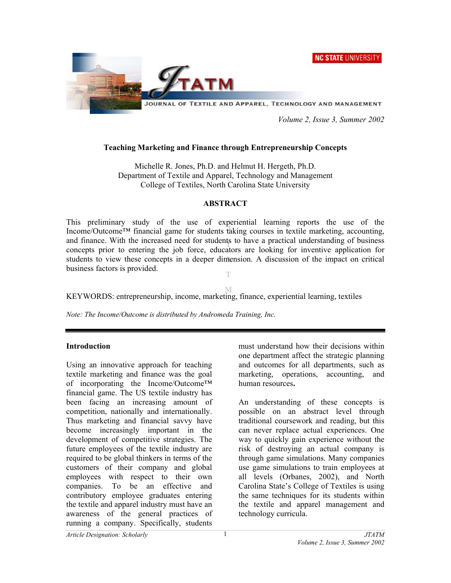**NC STATE UNIVERSITY** 



 *Volume 2, Issue 3, Summer 2002* 

# **Teaching Marketing and Finance through Entrepreneurship Concepts**

Michelle R. Jones, Ph.D. and Helmut H. Hergeth, Ph.D. Department of Textile and Apparel, Technology and Management College of Textiles, North Carolina State University

## **ABSTRACT**

This preliminary study of the use of experiential learning reports the use of the Income/Outcome™ financial game for students taking courses in textile marketing, accounting, and finance. With the increased need for students to have a practical understanding of business concepts prior to entering the job force, educators are looking for inventive application for students to view these concepts in a deeper dimension. A discussion of the impact on critical business factors is provided. Ŧ

M

KEYWORDS: entrepreneurship, income, marketing, finance, experiential learning, textiles

*Note: The Income/Outcome is distributed by Andromeda Training, Inc.* 

## **Introduction**

Using an innovative approach for teaching textile marketing and finance was the goal of incorporating the Income/Outcome™ financial game. The US textile industry has been facing an increasing amount of competition, nationally and internationally. Thus marketing and financial savvy have become increasingly important in the development of competitive strategies. The future employees of the textile industry are required to be global thinkers in terms of the customers of their company and global employees with respect to their own companies. To be an effective and contributory employee graduates entering the textile and apparel industry must have an awareness of the general practices of running a company. Specifically, students

must understand how their decisions within one department affect the strategic planning and outcomes for all departments, such as marketing, operations, accounting, and human resources**.** 

An understanding of these concepts is possible on an abstract level through traditional coursework and reading, but this can never replace actual experiences. One way to quickly gain experience without the risk of destroying an actual company is through game simulations. Many companies use game simulations to train employees at all levels (Orbanes, 2002), and North Carolina State's College of Textiles is using the same techniques for its students within the textile and apparel management and technology curricula.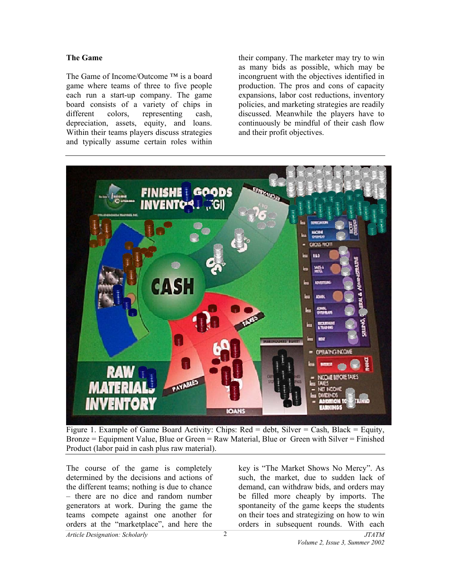## **The Game**

The Game of Income/Outcome ™ is a board game where teams of three to five people each run a start-up company. The game board consists of a variety of chips in different colors, representing cash, depreciation, assets, equity, and loans. Within their teams players discuss strategies and typically assume certain roles within

their company. The marketer may try to win as many bids as possible, which may be incongruent with the objectives identified in production. The pros and cons of capacity expansions, labor cost reductions, inventory policies, and marketing strategies are readily discussed. Meanwhile the players have to continuously be mindful of their cash flow and their profit objectives.



Figure 1. Example of Game Board Activity: Chips:  $Red = debt$ . Silver  $= Cash$ . Black  $= Equity$ . Bronze = Equipment Value, Blue or Green = Raw Material, Blue or Green with Silver = Finished Product (labor paid in cash plus raw material).

The course of the game is completely determined by the decisions and actions of the different teams; nothing is due to chance – there are no dice and random number generators at work. During the game the teams compete against one another for orders at the "marketplace", and here the

key is "The Market Shows No Mercy". As such, the market, due to sudden lack of demand, can withdraw bids, and orders may be filled more cheaply by imports. The spontaneity of the game keeps the students on their toes and strategizing on how to win orders in subsequent rounds. With each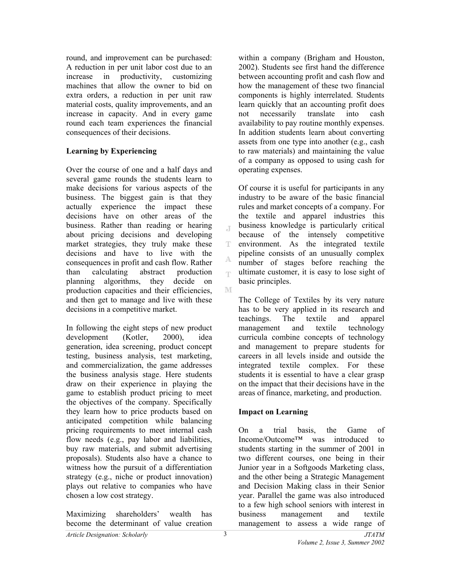round, and improvement can be purchased: A reduction in per unit labor cost due to an increase in productivity, customizing machines that allow the owner to bid on extra orders, a reduction in per unit raw material costs, quality improvements, and an increase in capacity. And in every game round each team experiences the financial consequences of their decisions.

# **Learning by Experiencing**

Over the course of one and a half days and several game rounds the students learn to make decisions for various aspects of the business. The biggest gain is that they actually experience the impact these decisions have on other areas of the business. Rather than reading or hearing about pricing decisions and developing market strategies, they truly make these decisions and have to live with the consequences in profit and cash flow. Rather than calculating abstract production planning algorithms, they decide on production capacities and their efficiencies, and then get to manage and live with these decisions in a competitive market.

In following the eight steps of new product development (Kotler, 2000), idea generation, idea screening, product concept testing, business analysis, test marketing, and commercialization, the game addresses the business analysis stage. Here students draw on their experience in playing the game to establish product pricing to meet the objectives of the company. Specifically they learn how to price products based on anticipated competition while balancing pricing requirements to meet internal cash flow needs (e.g., pay labor and liabilities, buy raw materials, and submit advertising proposals). Students also have a chance to witness how the pursuit of a differentiation strategy (e.g., niche or product innovation) plays out relative to companies who have chosen a low cost strategy.

Maximizing shareholders' wealth has become the determinant of value creation within a company (Brigham and Houston, 2002). Students see first hand the difference between accounting profit and cash flow and how the management of these two financial components is highly interrelated. Students learn quickly that an accounting profit does not necessarily translate into cash availability to pay routine monthly expenses. In addition students learn about converting assets from one type into another (e.g., cash to raw materials) and maintaining the value of a company as opposed to using cash for operating expenses.

Of course it is useful for participants in any industry to be aware of the basic financial rules and market concepts of a company. For the textile and apparel industries this business knowledge is particularly critical because of the intensely competitive environment. As the integrated textile pipeline consists of an unusually complex number of stages before reaching the ultimate customer, it is easy to lose sight of basic principles.

The College of Textiles by its very nature has to be very applied in its research and teachings. The textile and apparel management and textile technology curricula combine concepts of technology and management to prepare students for careers in all levels inside and outside the integrated textile complex. For these students it is essential to have a clear grasp on the impact that their decisions have in the areas of finance, marketing, and production.

# **Impact on Learning**

On a trial basis, the Game of Income/Outcome™ was introduced to students starting in the summer of 2001 in two different courses, one being in their Junior year in a Softgoods Marketing class, and the other being a Strategic Management and Decision Making class in their Senior year. Parallel the game was also introduced to a few high school seniors with interest in business management and textile management to assess a wide range of

 $\mathcal{A}$ 

T

A qv.

M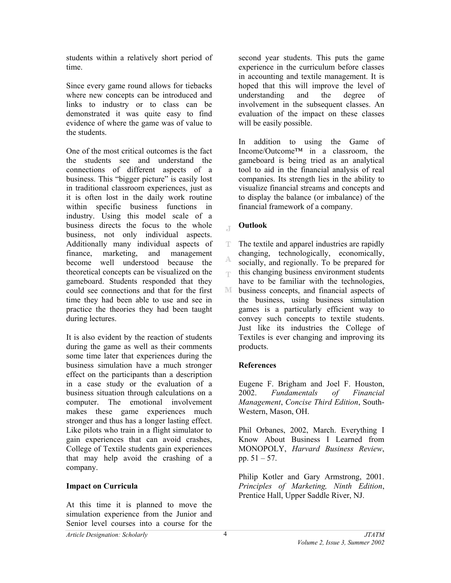students within a relatively short period of time.

Since every game round allows for tiebacks where new concepts can be introduced and links to industry or to class can be demonstrated it was quite easy to find evidence of where the game was of value to the students.

One of the most critical outcomes is the fact the students see and understand the connections of different aspects of a business. This "bigger picture" is easily lost in traditional classroom experiences, just as it is often lost in the daily work routine within specific business functions in industry. Using this model scale of a business directs the focus to the whole business, not only individual aspects. Additionally many individual aspects of finance, marketing, and management become well understood because the theoretical concepts can be visualized on the gameboard. Students responded that they could see connections and that for the first time they had been able to use and see in practice the theories they had been taught during lectures.

It is also evident by the reaction of students during the game as well as their comments some time later that experiences during the business simulation have a much stronger effect on the participants than a description in a case study or the evaluation of a business situation through calculations on a computer. The emotional involvement makes these game experiences much stronger and thus has a longer lasting effect. Like pilots who train in a flight simulator to gain experiences that can avoid crashes, College of Textile students gain experiences that may help avoid the crashing of a company.

# **Impact on Curricula**

At this time it is planned to move the simulation experience from the Junior and Senior level courses into a course for the

second year students. This puts the game experience in the curriculum before classes in accounting and textile management. It is hoped that this will improve the level of understanding and the degree of involvement in the subsequent classes. An evaluation of the impact on these classes will be easily possible.

In addition to using the Game of Income/Outcome™ in a classroom, the gameboard is being tried as an analytical tool to aid in the financial analysis of real companies. Its strength lies in the ability to visualize financial streams and concepts and to display the balance (or imbalance) of the financial framework of a company.

#### **Outlook**   $\mathbb{T}$

T The textile and apparel industries are rapidly changing, technologically, economically, A socially, and regionally. To be prepared for this changing business environment students egs. have to be familiar with the technologies, M business concepts, and financial aspects of the business, using business simulation games is a particularly efficient way to convey such concepts to textile students. Just like its industries the College of Textiles is ever changing and improving its products.

# **References**

Eugene F. Brigham and Joel F. Houston, 2002. *Fundamentals of Financial Management*, *Concise Third Edition*, South-Western, Mason, OH.

Phil Orbanes, 2002, March. Everything I Know About Business I Learned from MONOPOLY, *Harvard Business Review*, pp. 51 – 57.

Philip Kotler and Gary Armstrong, 2001. *Principles of Marketing, Ninth Edition*, Prentice Hall, Upper Saddle River, NJ.